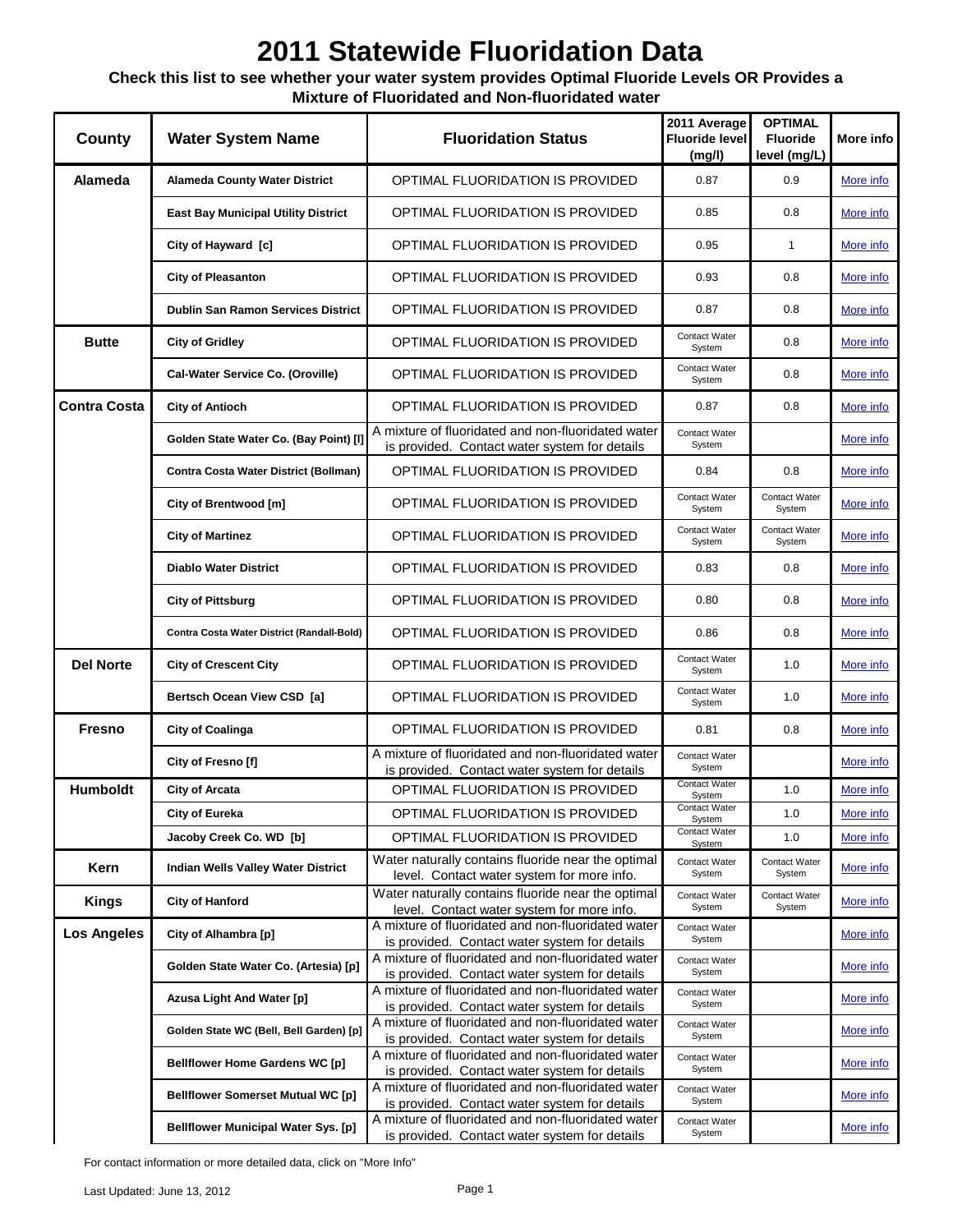### **Check this list to see whether your water system provides Optimal Fluoride Levels OR Provides a Mixture of Fluoridated and Non-fluoridated water**

| County              | <b>Water System Name</b>                   | <b>Fluoridation Status</b>                                                                          | 2011 Average<br><b>Fluoride level</b><br>(mg/l) | <b>OPTIMAL</b><br><b>Fluoride</b><br>level (mg/L) | More info        |
|---------------------|--------------------------------------------|-----------------------------------------------------------------------------------------------------|-------------------------------------------------|---------------------------------------------------|------------------|
| Alameda             | <b>Alameda County Water District</b>       | OPTIMAL FLUORIDATION IS PROVIDED                                                                    | 0.87                                            | 0.9                                               | More info        |
|                     | <b>East Bay Municipal Utility District</b> | OPTIMAL FLUORIDATION IS PROVIDED                                                                    | 0.85                                            | 0.8                                               | <u>More info</u> |
|                     | City of Hayward [c]                        | OPTIMAL FLUORIDATION IS PROVIDED                                                                    | 0.95                                            | $\mathbf{1}$                                      | More info        |
|                     | <b>City of Pleasanton</b>                  | OPTIMAL FLUORIDATION IS PROVIDED                                                                    | 0.93                                            | 0.8                                               | More info        |
|                     | <b>Dublin San Ramon Services District</b>  | OPTIMAL FLUORIDATION IS PROVIDED                                                                    | 0.87                                            | 0.8                                               | More info        |
| <b>Butte</b>        | <b>City of Gridley</b>                     | OPTIMAL FLUORIDATION IS PROVIDED                                                                    | Contact Water<br>System                         | 0.8                                               | More info        |
|                     | Cal-Water Service Co. (Oroville)           | OPTIMAL FLUORIDATION IS PROVIDED                                                                    | Contact Water<br>System                         | 0.8                                               | More info        |
| <b>Contra Costa</b> | <b>City of Antioch</b>                     | OPTIMAL FLUORIDATION IS PROVIDED                                                                    | 0.87                                            | 0.8                                               | More info        |
|                     | Golden State Water Co. (Bay Point) [I]     | A mixture of fluoridated and non-fluoridated water<br>is provided. Contact water system for details | Contact Water<br>System                         |                                                   | More info        |
|                     | Contra Costa Water District (Bollman)      | OPTIMAL FLUORIDATION IS PROVIDED                                                                    | 0.84                                            | 0.8                                               | More info        |
|                     | City of Brentwood [m]                      | OPTIMAL FLUORIDATION IS PROVIDED                                                                    | Contact Water<br>System                         | Contact Water<br>System                           | More info        |
|                     | <b>City of Martinez</b>                    | OPTIMAL FLUORIDATION IS PROVIDED                                                                    | Contact Water<br>System                         | <b>Contact Water</b><br>System                    | More info        |
|                     | <b>Diablo Water District</b>               | OPTIMAL FLUORIDATION IS PROVIDED                                                                    | 0.83                                            | 0.8                                               | More info        |
|                     | <b>City of Pittsburg</b>                   | OPTIMAL FLUORIDATION IS PROVIDED                                                                    | 0.80                                            | 0.8                                               | More info        |
|                     | Contra Costa Water District (Randall-Bold) | OPTIMAL FLUORIDATION IS PROVIDED                                                                    | 0.86                                            | 0.8                                               | More info        |
| <b>Del Norte</b>    | <b>City of Crescent City</b>               | OPTIMAL FLUORIDATION IS PROVIDED                                                                    | Contact Water<br>System                         | 1.0                                               | More info        |
|                     | Bertsch Ocean View CSD [a]                 | OPTIMAL FLUORIDATION IS PROVIDED                                                                    | Contact Water<br>System                         | 1.0                                               | More info        |
| <b>Fresno</b>       | <b>City of Coalinga</b>                    | OPTIMAL FLUORIDATION IS PROVIDED                                                                    | 0.81                                            | 0.8                                               | More info        |
|                     | City of Fresno [f]                         | A mixture of fluoridated and non-fluoridated water<br>is provided. Contact water system for details | Contact Water<br>System                         |                                                   | More info        |
| <b>Humboldt</b>     | <b>City of Arcata</b>                      | OPTIMAL FLUORIDATION IS PROVIDED                                                                    | Contact Water<br>System                         | 1.0                                               | More info        |
|                     | <b>City of Eureka</b>                      | OPTIMAL FLUORIDATION IS PROVIDED                                                                    | Contact Water<br>System                         | 1.0                                               | More info        |
|                     | Jacoby Creek Co. WD [b]                    | OPTIMAL FLUORIDATION IS PROVIDED                                                                    | Contact Water<br>System                         | 1.0                                               | More info        |
| Kern                | Indian Wells Valley Water District         | Water naturally contains fluoride near the optimal<br>level. Contact water system for more info.    | Contact Water<br>System                         | Contact Water<br>System                           | More info        |
| <b>Kings</b>        | <b>City of Hanford</b>                     | Water naturally contains fluoride near the optimal<br>level. Contact water system for more info.    | Contact Water<br>System                         | Contact Water<br>System                           | More info        |
| <b>Los Angeles</b>  | City of Alhambra [p]                       | A mixture of fluoridated and non-fluoridated water<br>is provided. Contact water system for details | Contact Water<br>System                         |                                                   | More info        |
|                     | Golden State Water Co. (Artesia) [p]       | A mixture of fluoridated and non-fluoridated water<br>is provided. Contact water system for details | Contact Water<br>System                         |                                                   | More info        |
|                     | Azusa Light And Water [p]                  | A mixture of fluoridated and non-fluoridated water<br>is provided. Contact water system for details | Contact Water<br>System                         |                                                   | More info        |
|                     | Golden State WC (Bell, Bell Garden) [p]    | A mixture of fluoridated and non-fluoridated water<br>is provided. Contact water system for details | Contact Water<br>System                         |                                                   | More info        |
|                     | <b>Bellflower Home Gardens WC [p]</b>      | A mixture of fluoridated and non-fluoridated water<br>is provided. Contact water system for details | Contact Water<br>System                         |                                                   | More info        |
|                     | <b>Bellflower Somerset Mutual WC [p]</b>   | A mixture of fluoridated and non-fluoridated water<br>is provided. Contact water system for details | Contact Water<br>System                         |                                                   | More info        |
|                     | <b>Bellflower Municipal Water Sys. [p]</b> | A mixture of fluoridated and non-fluoridated water<br>is provided. Contact water system for details | Contact Water<br>System                         |                                                   | <u>More info</u> |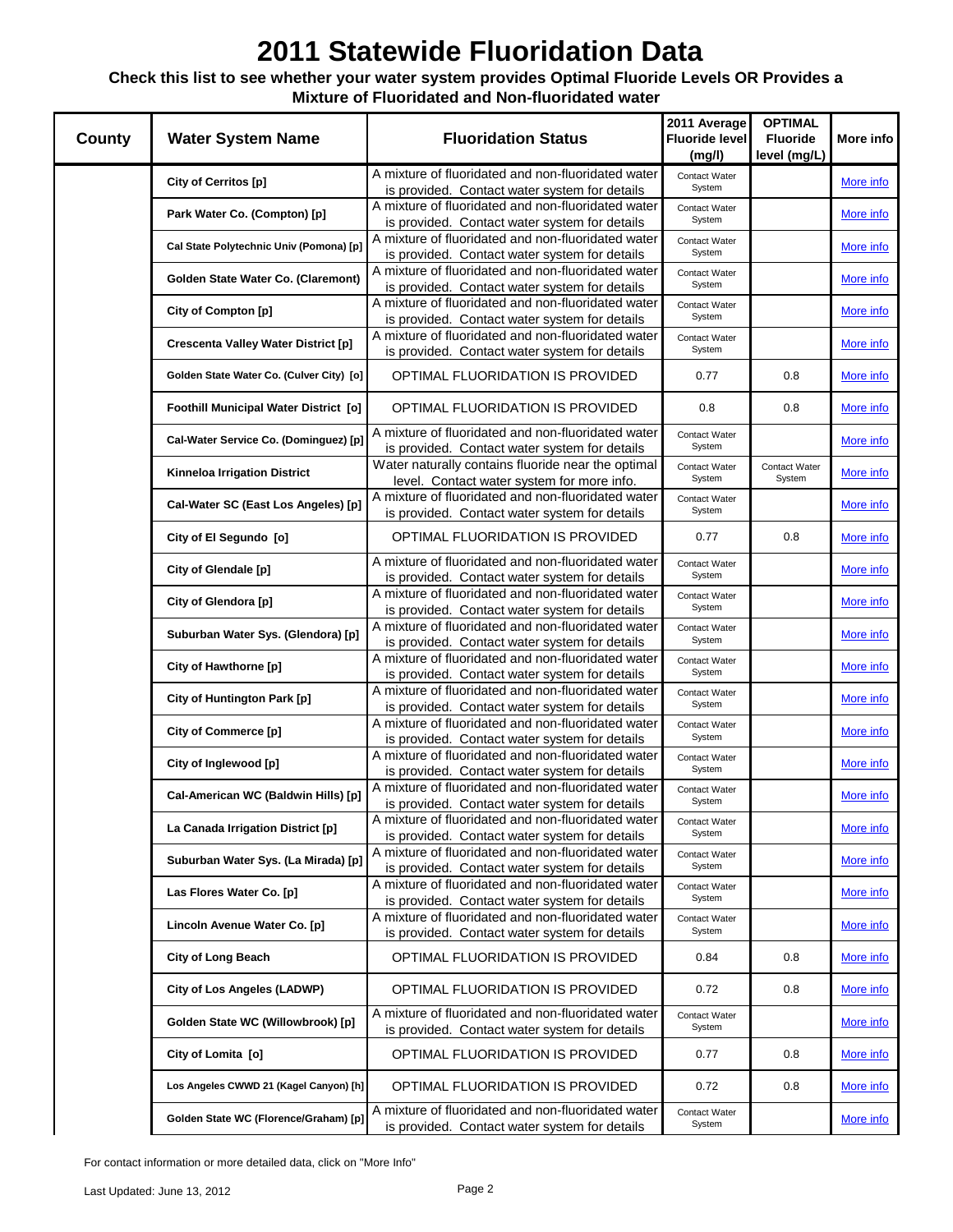### **Check this list to see whether your water system provides Optimal Fluoride Levels OR Provides a Mixture of Fluoridated and Non-fluoridated water**

| <b>County</b> | <b>Water System Name</b>                   | <b>Fluoridation Status</b>                                                                          | 2011 Average<br><b>Fluoride level</b><br>(mg/l) | <b>OPTIMAL</b><br><b>Fluoride</b><br>level (mg/L) | More info |
|---------------|--------------------------------------------|-----------------------------------------------------------------------------------------------------|-------------------------------------------------|---------------------------------------------------|-----------|
|               | City of Cerritos [p]                       | A mixture of fluoridated and non-fluoridated water                                                  | Contact Water                                   |                                                   | More info |
|               |                                            | is provided. Contact water system for details                                                       | System                                          |                                                   |           |
|               | Park Water Co. (Compton) [p]               | A mixture of fluoridated and non-fluoridated water                                                  | Contact Water                                   |                                                   | More info |
|               |                                            | is provided. Contact water system for details                                                       | System                                          |                                                   |           |
|               | Cal State Polytechnic Univ (Pomona) [p]    | A mixture of fluoridated and non-fluoridated water                                                  | Contact Water                                   |                                                   | More info |
|               |                                            | is provided. Contact water system for details                                                       | System                                          |                                                   |           |
|               | Golden State Water Co. (Claremont)         | A mixture of fluoridated and non-fluoridated water<br>is provided. Contact water system for details | Contact Water<br>System                         |                                                   | More info |
|               |                                            | A mixture of fluoridated and non-fluoridated water                                                  |                                                 |                                                   |           |
|               | City of Compton [p]                        | is provided. Contact water system for details                                                       | Contact Water<br>System                         |                                                   | More info |
|               |                                            | A mixture of fluoridated and non-fluoridated water                                                  | Contact Water                                   |                                                   |           |
|               | <b>Crescenta Valley Water District [p]</b> | is provided. Contact water system for details                                                       | System                                          |                                                   | More info |
|               | Golden State Water Co. (Culver City) [o]   | <b>OPTIMAL FLUORIDATION IS PROVIDED</b>                                                             | 0.77                                            | 0.8                                               |           |
|               |                                            |                                                                                                     |                                                 |                                                   | More info |
|               | Foothill Municipal Water District [0]      | OPTIMAL FLUORIDATION IS PROVIDED                                                                    | 0.8                                             | 0.8                                               | More info |
|               | Cal-Water Service Co. (Dominguez) [p]      | A mixture of fluoridated and non-fluoridated water                                                  | Contact Water                                   |                                                   | More info |
|               |                                            | is provided. Contact water system for details                                                       | System                                          |                                                   |           |
|               | <b>Kinneloa Irrigation District</b>        | Water naturally contains fluoride near the optimal                                                  | Contact Water<br>System                         | Contact Water<br>System                           | More info |
|               |                                            | level. Contact water system for more info.<br>A mixture of fluoridated and non-fluoridated water    |                                                 |                                                   |           |
|               | Cal-Water SC (East Los Angeles) [p]        | is provided. Contact water system for details                                                       | Contact Water<br>System                         |                                                   | More info |
|               |                                            |                                                                                                     |                                                 |                                                   |           |
|               | City of El Segundo [o]                     | OPTIMAL FLUORIDATION IS PROVIDED                                                                    | 0.77                                            | 0.8                                               | More info |
|               | City of Glendale [p]                       | A mixture of fluoridated and non-fluoridated water                                                  | Contact Water                                   |                                                   | More info |
|               |                                            | is provided. Contact water system for details                                                       | System                                          |                                                   |           |
|               | City of Glendora [p]                       | A mixture of fluoridated and non-fluoridated water                                                  | Contact Water<br>System                         |                                                   | More info |
|               |                                            | is provided. Contact water system for details<br>A mixture of fluoridated and non-fluoridated water |                                                 |                                                   |           |
|               | Suburban Water Sys. (Glendora) [p]         | is provided. Contact water system for details                                                       | Contact Water<br>System                         |                                                   | More info |
|               |                                            | A mixture of fluoridated and non-fluoridated water                                                  | Contact Water                                   |                                                   |           |
|               | City of Hawthorne [p]                      | is provided. Contact water system for details                                                       | System                                          |                                                   | More info |
|               |                                            | A mixture of fluoridated and non-fluoridated water                                                  | Contact Water                                   |                                                   |           |
|               | City of Huntington Park [p]                | is provided. Contact water system for details                                                       | System                                          |                                                   | More info |
|               | City of Commerce [p]                       | A mixture of fluoridated and non-fluoridated water                                                  | Contact Water                                   |                                                   | More info |
|               |                                            | is provided. Contact water system for details                                                       | System                                          |                                                   |           |
|               | City of Inglewood [p]                      | A mixture of fluoridated and non-fluoridated water                                                  | Contact Water                                   |                                                   | More info |
|               |                                            | is provided. Contact water system for details                                                       | System                                          |                                                   |           |
|               | Cal-American WC (Baldwin Hills) [p]        | A mixture of fluoridated and non-fluoridated water                                                  | Contact Water                                   |                                                   | More info |
|               |                                            | is provided. Contact water system for details                                                       | System                                          |                                                   |           |
|               | La Canada Irrigation District [p]          | A mixture of fluoridated and non-fluoridated water                                                  | Contact Water<br>System                         |                                                   | More info |
|               |                                            | is provided. Contact water system for details<br>A mixture of fluoridated and non-fluoridated water | Contact Water                                   |                                                   |           |
|               | Suburban Water Sys. (La Mirada) [p]        | is provided. Contact water system for details                                                       | System                                          |                                                   | More info |
|               |                                            | A mixture of fluoridated and non-fluoridated water                                                  | Contact Water                                   |                                                   |           |
|               | Las Flores Water Co. [p]                   | is provided. Contact water system for details                                                       | System                                          |                                                   | More info |
|               |                                            | A mixture of fluoridated and non-fluoridated water                                                  | Contact Water                                   |                                                   |           |
|               | Lincoln Avenue Water Co. [p]               | is provided. Contact water system for details                                                       | System                                          |                                                   | More info |
|               | <b>City of Long Beach</b>                  | OPTIMAL FLUORIDATION IS PROVIDED                                                                    | 0.84                                            | 0.8                                               | More info |
|               | City of Los Angeles (LADWP)                | <b>OPTIMAL FLUORIDATION IS PROVIDED</b>                                                             | 0.72                                            | 0.8                                               | More info |
|               | Golden State WC (Willowbrook) [p]          | A mixture of fluoridated and non-fluoridated water<br>is provided. Contact water system for details | Contact Water<br>System                         |                                                   | More info |
|               | City of Lomita [o]                         | OPTIMAL FLUORIDATION IS PROVIDED                                                                    | 0.77                                            | 0.8                                               | More info |
|               | Los Angeles CWWD 21 (Kagel Canyon) [h]     | OPTIMAL FLUORIDATION IS PROVIDED                                                                    | 0.72                                            | 0.8                                               | More info |
|               | Golden State WC (Florence/Graham) [p]      | A mixture of fluoridated and non-fluoridated water                                                  | Contact Water                                   |                                                   | More info |
|               |                                            | is provided. Contact water system for details                                                       | System                                          |                                                   |           |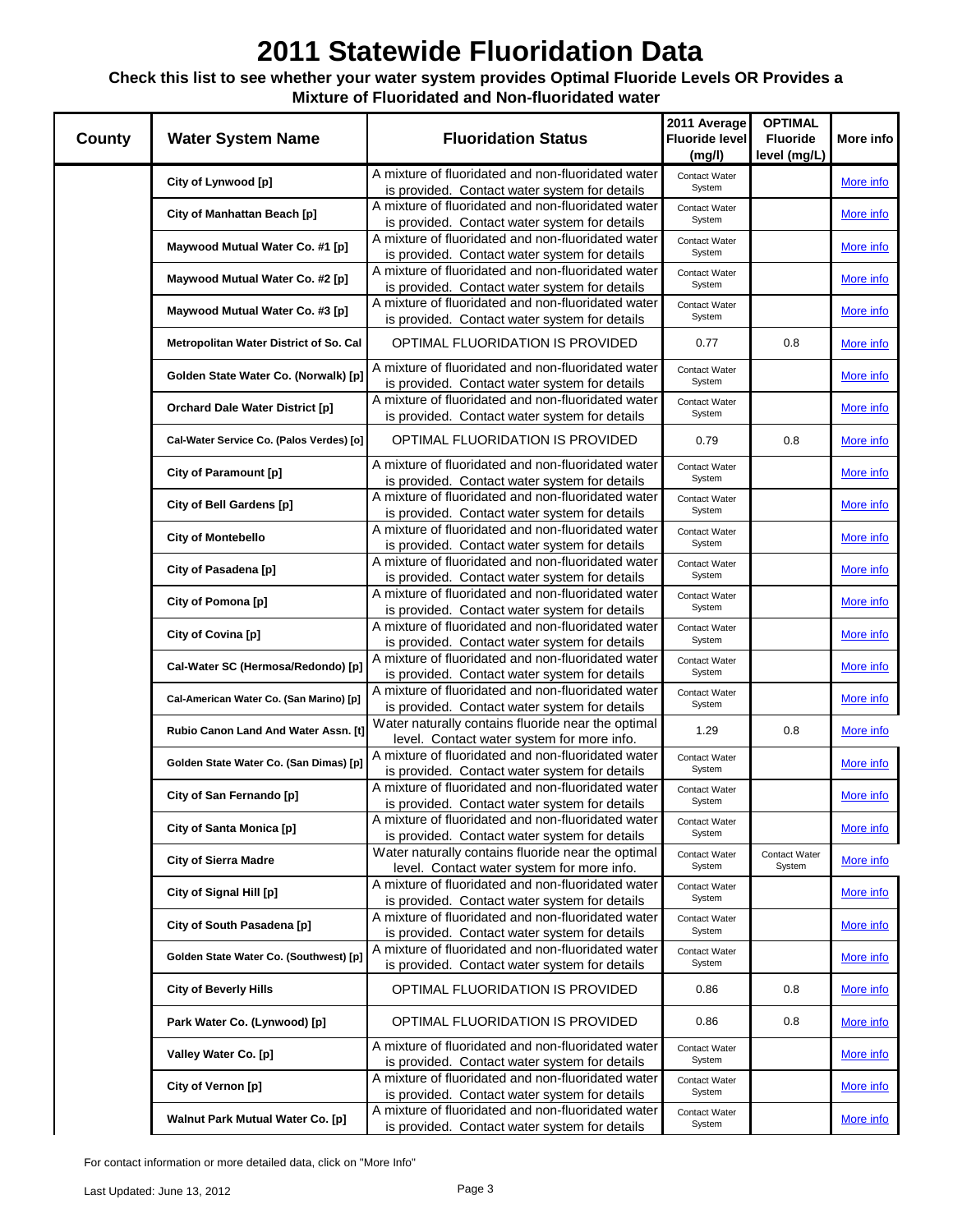### **Check this list to see whether your water system provides Optimal Fluoride Levels OR Provides a Mixture of Fluoridated and Non-fluoridated water**

| County | <b>Water System Name</b>                 | <b>Fluoridation Status</b>                                                                                                                           | 2011 Average<br><b>Fluoride level</b><br>(mg/l) | <b>OPTIMAL</b><br><b>Fluoride</b><br>level (mg/L) | More info        |
|--------|------------------------------------------|------------------------------------------------------------------------------------------------------------------------------------------------------|-------------------------------------------------|---------------------------------------------------|------------------|
|        | City of Lynwood [p]                      | A mixture of fluoridated and non-fluoridated water                                                                                                   | Contact Water                                   |                                                   | More info        |
|        |                                          | is provided. Contact water system for details                                                                                                        | System                                          |                                                   |                  |
|        | City of Manhattan Beach [p]              | A mixture of fluoridated and non-fluoridated water                                                                                                   | Contact Water                                   |                                                   | More info        |
|        |                                          | is provided. Contact water system for details                                                                                                        | System                                          |                                                   |                  |
|        | Maywood Mutual Water Co. #1 [p]          | A mixture of fluoridated and non-fluoridated water                                                                                                   | Contact Water<br>System                         |                                                   | More info        |
|        |                                          | is provided. Contact water system for details<br>A mixture of fluoridated and non-fluoridated water                                                  |                                                 |                                                   |                  |
|        | Maywood Mutual Water Co. #2 [p]          | is provided. Contact water system for details                                                                                                        | Contact Water<br>System                         |                                                   | More info        |
|        |                                          | A mixture of fluoridated and non-fluoridated water                                                                                                   | Contact Water                                   |                                                   |                  |
|        | Maywood Mutual Water Co. #3 [p]          | is provided. Contact water system for details                                                                                                        | System                                          |                                                   | More info        |
|        | Metropolitan Water District of So. Cal   | OPTIMAL FLUORIDATION IS PROVIDED                                                                                                                     | 0.77                                            | 0.8                                               | More info        |
|        | Golden State Water Co. (Norwalk) [p]     | A mixture of fluoridated and non-fluoridated water                                                                                                   | Contact Water                                   |                                                   | More info        |
|        |                                          | is provided. Contact water system for details                                                                                                        | System                                          |                                                   |                  |
|        | <b>Orchard Dale Water District [p]</b>   | A mixture of fluoridated and non-fluoridated water                                                                                                   | Contact Water                                   |                                                   | More info        |
|        |                                          | is provided. Contact water system for details                                                                                                        | System                                          |                                                   |                  |
|        | Cal-Water Service Co. (Palos Verdes) [o] | OPTIMAL FLUORIDATION IS PROVIDED                                                                                                                     | 0.79                                            | 0.8                                               | More info        |
|        | City of Paramount [p]                    | A mixture of fluoridated and non-fluoridated water<br>is provided. Contact water system for details                                                  | Contact Water<br>System                         |                                                   | More info        |
|        | City of Bell Gardens [p]                 | A mixture of fluoridated and non-fluoridated water<br>is provided. Contact water system for details                                                  | Contact Water<br>System                         |                                                   | More info        |
|        | <b>City of Montebello</b>                | A mixture of fluoridated and non-fluoridated water<br>is provided. Contact water system for details                                                  | Contact Water<br>System                         |                                                   | More info        |
|        | City of Pasadena [p]                     | A mixture of fluoridated and non-fluoridated water<br>is provided. Contact water system for details                                                  | Contact Water<br>System                         |                                                   | More info        |
|        | City of Pomona [p]                       | A mixture of fluoridated and non-fluoridated water<br>is provided. Contact water system for details                                                  | Contact Water<br>System                         |                                                   | More info        |
|        | City of Covina [p]                       | A mixture of fluoridated and non-fluoridated water<br>is provided. Contact water system for details                                                  | Contact Water<br>System                         |                                                   | More info        |
|        | Cal-Water SC (Hermosa/Redondo) [p]       | A mixture of fluoridated and non-fluoridated water                                                                                                   | Contact Water<br>System                         |                                                   | More info        |
|        | Cal-American Water Co. (San Marino) [p]  | is provided. Contact water system for details<br>A mixture of fluoridated and non-fluoridated water                                                  | Contact Water<br>System                         |                                                   | More info        |
|        |                                          | is provided. Contact water system for details<br>Water naturally contains fluoride near the optimal                                                  |                                                 |                                                   |                  |
|        | Rubio Canon Land And Water Assn. [t]     | level. Contact water system for more info.                                                                                                           | 1.29                                            | 0.8                                               | More info        |
|        | Golden State Water Co. (San Dimas) [p]   | A mixture of fluoridated and non-fluoridated water<br>is provided. Contact water system for details                                                  | Contact Water<br>System                         |                                                   | More info        |
|        | City of San Fernando [p]                 | A mixture of fluoridated and non-fluoridated water                                                                                                   | Contact Water                                   |                                                   | More info        |
|        |                                          | is provided. Contact water system for details                                                                                                        | System                                          |                                                   |                  |
|        | City of Santa Monica [p]                 | A mixture of fluoridated and non-fluoridated water<br>is provided. Contact water system for details                                                  | Contact Water<br>System                         |                                                   | More info        |
|        |                                          | Water naturally contains fluoride near the optimal                                                                                                   | Contact Water                                   | Contact Water                                     |                  |
|        | <b>City of Sierra Madre</b>              | level. Contact water system for more info.                                                                                                           | System                                          | System                                            | More info        |
|        | City of Signal Hill [p]                  | A mixture of fluoridated and non-fluoridated water<br>is provided. Contact water system for details                                                  | Contact Water<br>System                         |                                                   | More info        |
|        | City of South Pasadena [p]               | A mixture of fluoridated and non-fluoridated water<br>is provided. Contact water system for details                                                  | Contact Water<br>System                         |                                                   | More info        |
|        | Golden State Water Co. (Southwest) [p]   | A mixture of fluoridated and non-fluoridated water<br>is provided. Contact water system for details                                                  | Contact Water<br>System                         |                                                   | More info        |
|        | <b>City of Beverly Hills</b>             | <b>OPTIMAL FLUORIDATION IS PROVIDED</b>                                                                                                              | 0.86                                            | 0.8                                               | More info        |
|        | Park Water Co. (Lynwood) [p]             | <b>OPTIMAL FLUORIDATION IS PROVIDED</b>                                                                                                              | 0.86                                            | 0.8                                               | More info        |
|        | Valley Water Co. [p]                     | A mixture of fluoridated and non-fluoridated water                                                                                                   | Contact Water<br>System                         |                                                   | More info        |
|        | City of Vernon [p]                       | is provided. Contact water system for details<br>A mixture of fluoridated and non-fluoridated water                                                  | Contact Water<br>System                         |                                                   | More info        |
|        | Walnut Park Mutual Water Co. [p]         | is provided. Contact water system for details<br>A mixture of fluoridated and non-fluoridated water<br>is provided. Contact water system for details | Contact Water<br>System                         |                                                   | <u>More info</u> |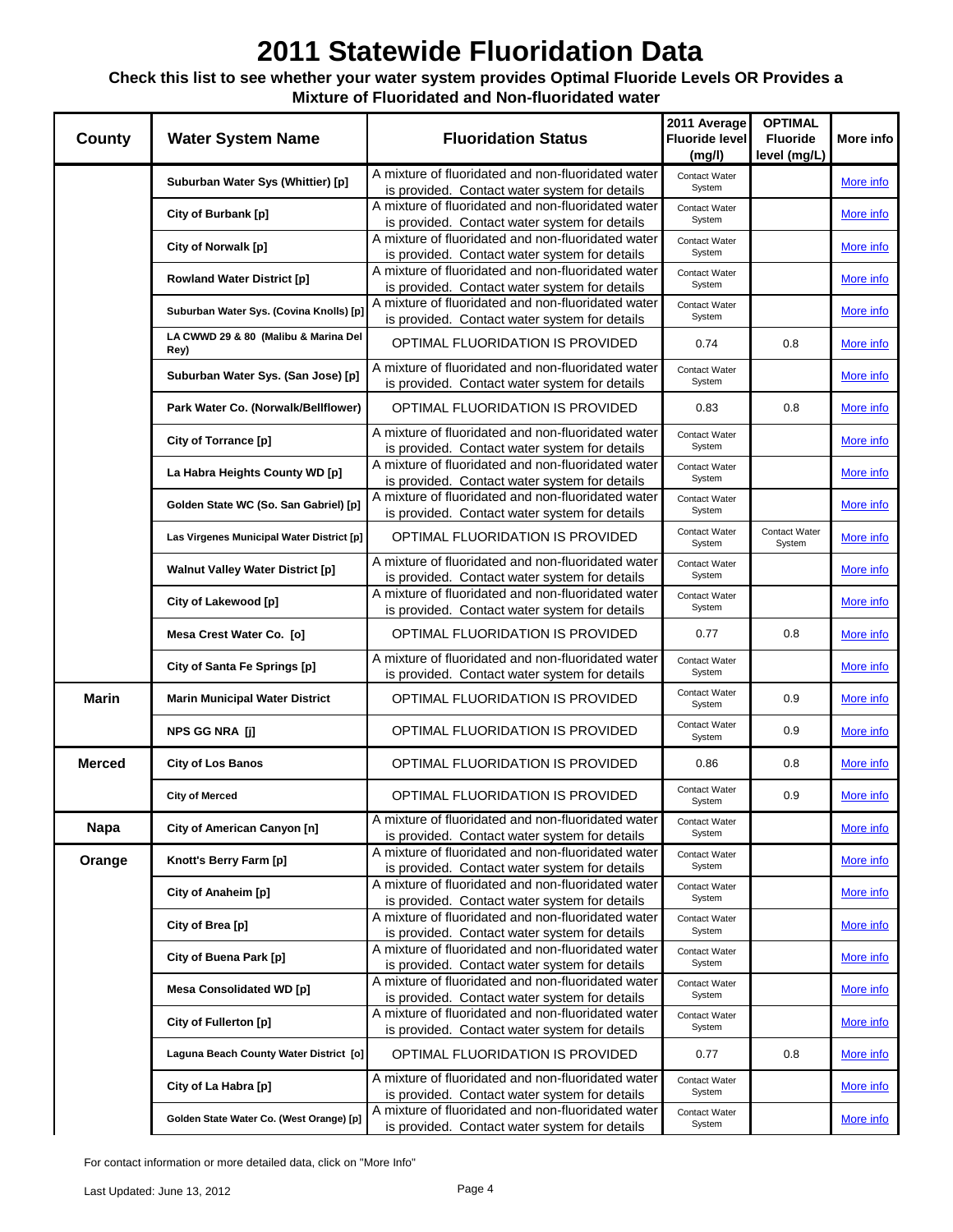### **Check this list to see whether your water system provides Optimal Fluoride Levels OR Provides a Mixture of Fluoridated and Non-fluoridated water**

| <b>County</b> | <b>Water System Name</b>                     | <b>Fluoridation Status</b>                                                                          | 2011 Average<br>Fluoride level<br>(mg/l) | <b>OPTIMAL</b><br><b>Fluoride</b><br>level (mg/L) | More info        |
|---------------|----------------------------------------------|-----------------------------------------------------------------------------------------------------|------------------------------------------|---------------------------------------------------|------------------|
|               | Suburban Water Sys (Whittier) [p]            | A mixture of fluoridated and non-fluoridated water                                                  | Contact Water                            |                                                   | More info        |
|               |                                              | is provided. Contact water system for details                                                       | System                                   |                                                   |                  |
|               | City of Burbank [p]                          | A mixture of fluoridated and non-fluoridated water<br>is provided. Contact water system for details | Contact Water<br>System                  |                                                   | More info        |
|               |                                              | A mixture of fluoridated and non-fluoridated water                                                  | Contact Water                            |                                                   |                  |
|               | City of Norwalk [p]                          | is provided. Contact water system for details                                                       | System                                   |                                                   | More info        |
|               | <b>Rowland Water District [p]</b>            | A mixture of fluoridated and non-fluoridated water                                                  | Contact Water                            |                                                   | More info        |
|               |                                              | is provided. Contact water system for details                                                       | System                                   |                                                   |                  |
|               | Suburban Water Sys. (Covina Knolls) [p]      | A mixture of fluoridated and non-fluoridated water<br>is provided. Contact water system for details | Contact Water<br>System                  |                                                   | More info        |
|               | LA CWWD 29 & 80 (Malibu & Marina Del<br>Rey) | OPTIMAL FLUORIDATION IS PROVIDED                                                                    | 0.74                                     | 0.8                                               | <u>More info</u> |
|               |                                              | A mixture of fluoridated and non-fluoridated water                                                  | Contact Water                            |                                                   |                  |
|               | Suburban Water Sys. (San Jose) [p]           | is provided. Contact water system for details                                                       | System                                   |                                                   | More info        |
|               | Park Water Co. (Norwalk/Bellflower)          | OPTIMAL FLUORIDATION IS PROVIDED                                                                    | 0.83                                     | 0.8                                               | More info        |
|               | City of Torrance [p]                         | A mixture of fluoridated and non-fluoridated water                                                  | Contact Water                            |                                                   | More info        |
|               |                                              | is provided. Contact water system for details                                                       | System                                   |                                                   |                  |
|               | La Habra Heights County WD [p]               | A mixture of fluoridated and non-fluoridated water<br>is provided. Contact water system for details | Contact Water<br>System                  |                                                   | More info        |
|               | Golden State WC (So. San Gabriel) [p]        | A mixture of fluoridated and non-fluoridated water<br>is provided. Contact water system for details | Contact Water<br>System                  |                                                   | More info        |
|               | Las Virgenes Municipal Water District [p]    | OPTIMAL FLUORIDATION IS PROVIDED                                                                    | Contact Water<br>System                  | Contact Water<br>System                           | More info        |
|               | <b>Walnut Valley Water District [p]</b>      | A mixture of fluoridated and non-fluoridated water<br>is provided. Contact water system for details | Contact Water<br>System                  |                                                   | More info        |
|               | City of Lakewood [p]                         | A mixture of fluoridated and non-fluoridated water<br>is provided. Contact water system for details | Contact Water<br>System                  |                                                   | More info        |
|               | Mesa Crest Water Co. [o]                     | OPTIMAL FLUORIDATION IS PROVIDED                                                                    | 0.77                                     | 0.8                                               | More info        |
|               | City of Santa Fe Springs [p]                 | A mixture of fluoridated and non-fluoridated water<br>is provided. Contact water system for details | Contact Water<br>System                  |                                                   | More info        |
| Marin         | <b>Marin Municipal Water District</b>        | OPTIMAL FLUORIDATION IS PROVIDED                                                                    | Contact Water<br>System                  | 0.9                                               | More info        |
|               | NPS GG NRA [j]                               | OPTIMAL FLUORIDATION IS PROVIDED                                                                    | Contact Water<br>System                  | 0.9                                               | More info        |
| <b>Merced</b> | <b>City of Los Banos</b>                     | OPTIMAL FLUORIDATION IS PROVIDED                                                                    | 0.86                                     | 0.8                                               | <u>More info</u> |
|               | <b>City of Merced</b>                        | OPTIMAL FLUORIDATION IS PROVIDED                                                                    | Contact Water<br>System                  | 0.9                                               | More info        |
| <b>Napa</b>   | City of American Canyon [n]                  | A mixture of fluoridated and non-fluoridated water<br>is provided. Contact water system for details | Contact Water<br>System                  |                                                   | More info        |
| Orange        | Knott's Berry Farm [p]                       | A mixture of fluoridated and non-fluoridated water<br>is provided. Contact water system for details | Contact Water<br>System                  |                                                   | More info        |
|               | City of Anaheim [p]                          | A mixture of fluoridated and non-fluoridated water<br>is provided. Contact water system for details | Contact Water<br>System                  |                                                   | More info        |
|               | City of Brea [p]                             | A mixture of fluoridated and non-fluoridated water<br>is provided. Contact water system for details | Contact Water<br>System                  |                                                   | More info        |
|               | City of Buena Park [p]                       | A mixture of fluoridated and non-fluoridated water<br>is provided. Contact water system for details | Contact Water<br>System                  |                                                   | More info        |
|               | <b>Mesa Consolidated WD [p]</b>              | A mixture of fluoridated and non-fluoridated water<br>is provided. Contact water system for details | Contact Water<br>System                  |                                                   | More info        |
|               | City of Fullerton [p]                        | A mixture of fluoridated and non-fluoridated water<br>is provided. Contact water system for details | Contact Water<br>System                  |                                                   | More info        |
|               | Laguna Beach County Water District [o]       | OPTIMAL FLUORIDATION IS PROVIDED                                                                    | 0.77                                     | 0.8                                               | More info        |
|               | City of La Habra [p]                         | A mixture of fluoridated and non-fluoridated water<br>is provided. Contact water system for details | Contact Water<br>System                  |                                                   | More info        |
|               | Golden State Water Co. (West Orange) [p]     | A mixture of fluoridated and non-fluoridated water<br>is provided. Contact water system for details | Contact Water<br>System                  |                                                   | More info        |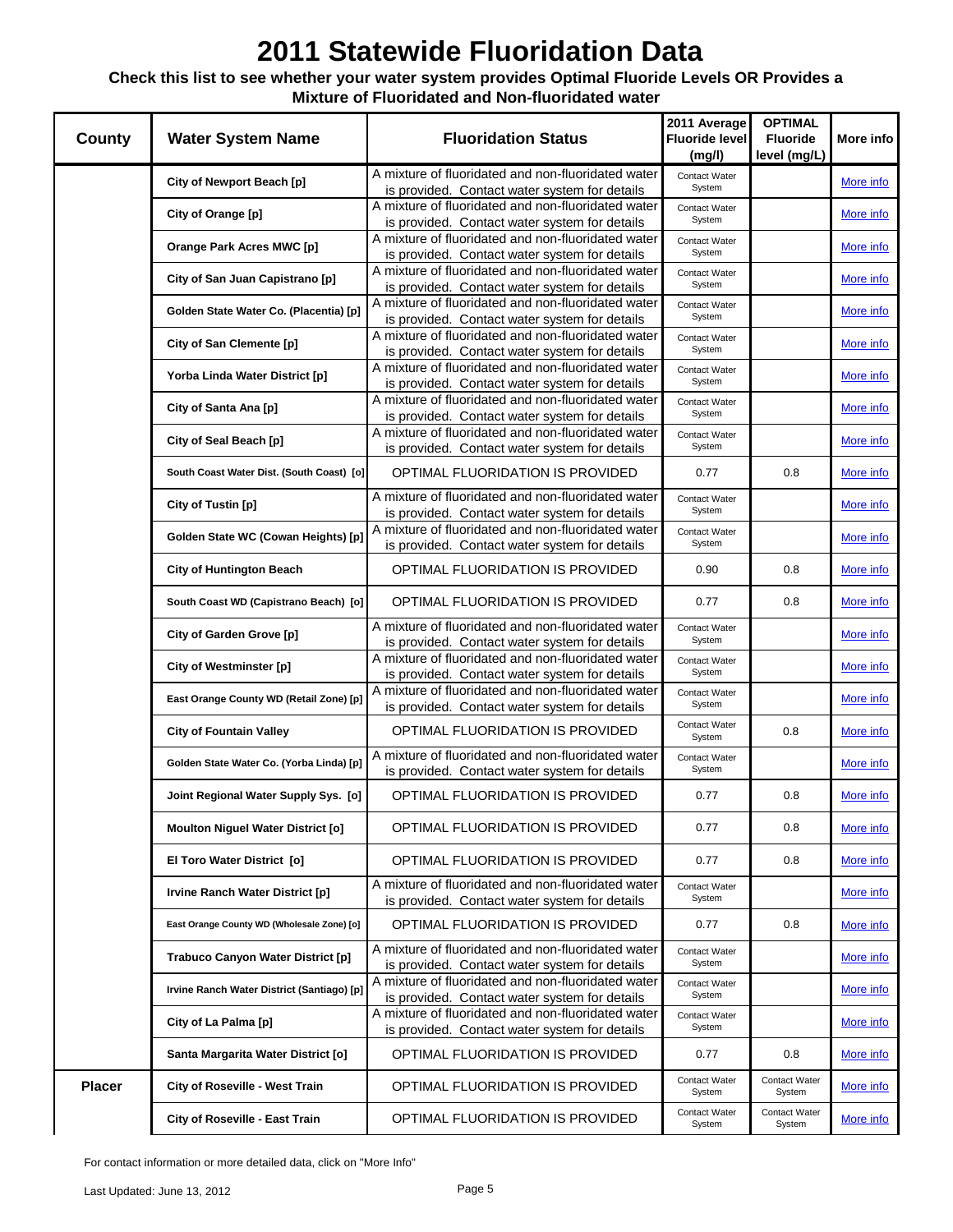### **Check this list to see whether your water system provides Optimal Fluoride Levels OR Provides a Mixture of Fluoridated and Non-fluoridated water**

| <b>County</b> | <b>Water System Name</b>                   | <b>Fluoridation Status</b>                                                                          | 2011 Average<br><b>Fluoride level</b><br>(mg/l) | <b>OPTIMAL</b><br><b>Fluoride</b><br>level (mg/L) | More info        |
|---------------|--------------------------------------------|-----------------------------------------------------------------------------------------------------|-------------------------------------------------|---------------------------------------------------|------------------|
|               | City of Newport Beach [p]                  | A mixture of fluoridated and non-fluoridated water                                                  | Contact Water                                   |                                                   | More info        |
|               |                                            | is provided. Contact water system for details                                                       | System                                          |                                                   |                  |
|               | City of Orange [p]                         | A mixture of fluoridated and non-fluoridated water<br>is provided. Contact water system for details | Contact Water<br>System                         |                                                   | More info        |
|               |                                            | A mixture of fluoridated and non-fluoridated water                                                  | Contact Water                                   |                                                   |                  |
|               | Orange Park Acres MWC [p]                  | is provided. Contact water system for details                                                       | System                                          |                                                   | More info        |
|               | City of San Juan Capistrano [p]            | A mixture of fluoridated and non-fluoridated water                                                  | Contact Water                                   |                                                   | More info        |
|               |                                            | is provided. Contact water system for details                                                       | System                                          |                                                   |                  |
|               | Golden State Water Co. (Placentia) [p]     | A mixture of fluoridated and non-fluoridated water<br>is provided. Contact water system for details | Contact Water<br>System                         |                                                   | More info        |
|               |                                            | A mixture of fluoridated and non-fluoridated water                                                  | Contact Water                                   |                                                   |                  |
|               | City of San Clemente [p]                   | is provided. Contact water system for details                                                       | System                                          |                                                   | <u>More info</u> |
|               | Yorba Linda Water District [p]             | A mixture of fluoridated and non-fluoridated water                                                  | Contact Water                                   |                                                   | More info        |
|               |                                            | is provided. Contact water system for details                                                       | System                                          |                                                   |                  |
|               | City of Santa Ana [p]                      | A mixture of fluoridated and non-fluoridated water<br>is provided. Contact water system for details | Contact Water<br>System                         |                                                   | More info        |
|               |                                            | A mixture of fluoridated and non-fluoridated water                                                  | Contact Water                                   |                                                   |                  |
|               | City of Seal Beach [p]                     | is provided. Contact water system for details                                                       | System                                          |                                                   | More info        |
|               | South Coast Water Dist. (South Coast) [o]  | OPTIMAL FLUORIDATION IS PROVIDED                                                                    | 0.77                                            | 0.8                                               | More info        |
|               | City of Tustin [p]                         | A mixture of fluoridated and non-fluoridated water<br>is provided. Contact water system for details | Contact Water<br>System                         |                                                   | More info        |
|               | Golden State WC (Cowan Heights) [p]        | A mixture of fluoridated and non-fluoridated water                                                  | Contact Water                                   |                                                   | More info        |
|               |                                            | is provided. Contact water system for details                                                       | System                                          |                                                   |                  |
|               | <b>City of Huntington Beach</b>            | OPTIMAL FLUORIDATION IS PROVIDED                                                                    | 0.90                                            | 0.8                                               | More info        |
|               | South Coast WD (Capistrano Beach) [o]      | <b>OPTIMAL FLUORIDATION IS PROVIDED</b>                                                             | 0.77                                            | 0.8                                               | More info        |
|               | City of Garden Grove [p]                   | A mixture of fluoridated and non-fluoridated water<br>is provided. Contact water system for details | Contact Water<br>System                         |                                                   | More info        |
|               | City of Westminster [p]                    | A mixture of fluoridated and non-fluoridated water                                                  | Contact Water                                   |                                                   | More info        |
|               |                                            | is provided. Contact water system for details<br>A mixture of fluoridated and non-fluoridated water | System                                          |                                                   |                  |
|               | East Orange County WD (Retail Zone) [p]    | is provided. Contact water system for details                                                       | Contact Water<br>System                         |                                                   | More info        |
|               | <b>City of Fountain Valley</b>             | OPTIMAL FLUORIDATION IS PROVIDED                                                                    | Contact Water<br>System                         | 0.8                                               | More info        |
|               | Golden State Water Co. (Yorba Linda) [p]   | A mixture of fluoridated and non-fluoridated water<br>is provided. Contact water system for details | Contact Water<br>System                         |                                                   | <u>More info</u> |
|               | Joint Regional Water Supply Sys. [o]       | OPTIMAL FLUORIDATION IS PROVIDED                                                                    | 0.77                                            | 0.8                                               | More info        |
|               | <b>Moulton Niguel Water District [o]</b>   | OPTIMAL FLUORIDATION IS PROVIDED                                                                    | 0.77                                            | 0.8                                               | More info        |
|               | El Toro Water District [o]                 | OPTIMAL FLUORIDATION IS PROVIDED                                                                    | 0.77                                            | 0.8                                               | More info        |
|               | Irvine Ranch Water District [p]            | A mixture of fluoridated and non-fluoridated water<br>is provided. Contact water system for details | Contact Water<br>System                         |                                                   | More info        |
|               | East Orange County WD (Wholesale Zone) [o] | OPTIMAL FLUORIDATION IS PROVIDED                                                                    | 0.77                                            | 0.8                                               | More info        |
|               | Trabuco Canyon Water District [p]          | A mixture of fluoridated and non-fluoridated water<br>is provided. Contact water system for details | Contact Water<br>System                         |                                                   | More info        |
|               | Irvine Ranch Water District (Santiago) [p] | A mixture of fluoridated and non-fluoridated water<br>is provided. Contact water system for details | Contact Water<br>System                         |                                                   | More info        |
|               | City of La Palma [p]                       | A mixture of fluoridated and non-fluoridated water<br>is provided. Contact water system for details | Contact Water<br>System                         |                                                   | More info        |
|               | Santa Margarita Water District [o]         | OPTIMAL FLUORIDATION IS PROVIDED                                                                    | 0.77                                            | 0.8                                               | More info        |
| <b>Placer</b> | City of Roseville - West Train             | OPTIMAL FLUORIDATION IS PROVIDED                                                                    | Contact Water<br>System                         | Contact Water<br>System                           | More info        |
|               | City of Roseville - East Train             | OPTIMAL FLUORIDATION IS PROVIDED                                                                    | Contact Water<br>System                         | Contact Water<br>System                           | More info        |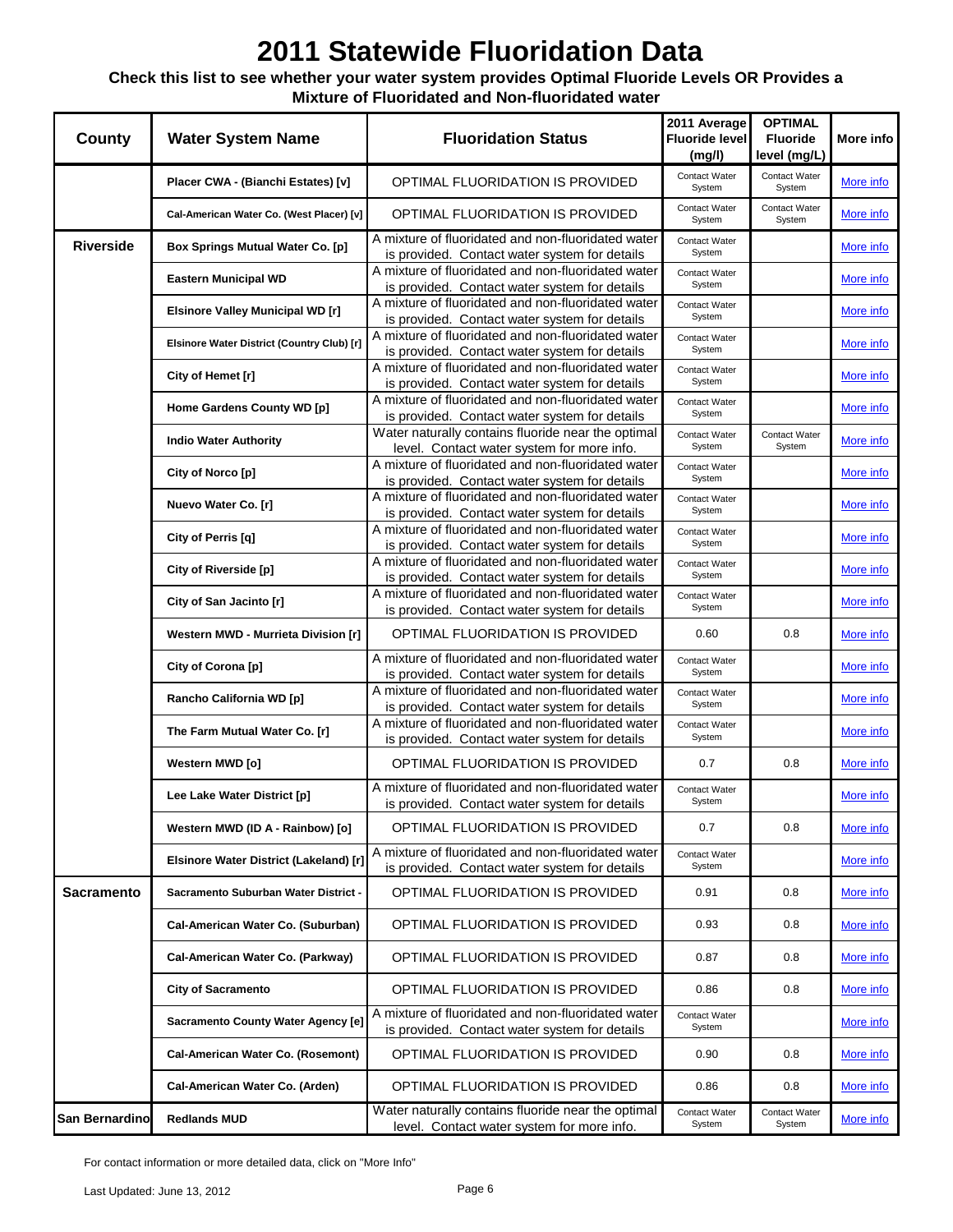### **Check this list to see whether your water system provides Optimal Fluoride Levels OR Provides a Mixture of Fluoridated and Non-fluoridated water**

| County            | <b>Water System Name</b>                   | <b>Fluoridation Status</b>                                                                          | 2011 Average<br><b>Fluoride level</b><br>(mg/l) | <b>OPTIMAL</b><br><b>Fluoride</b><br>level (mg/L) | More info        |
|-------------------|--------------------------------------------|-----------------------------------------------------------------------------------------------------|-------------------------------------------------|---------------------------------------------------|------------------|
|                   | Placer CWA - (Bianchi Estates) [v]         | OPTIMAL FLUORIDATION IS PROVIDED                                                                    | Contact Water<br>System                         | Contact Water<br>System                           | More info        |
|                   | Cal-American Water Co. (West Placer) [v]   | OPTIMAL FLUORIDATION IS PROVIDED                                                                    | Contact Water<br>System                         | Contact Water<br>System                           | More info        |
| <b>Riverside</b>  | Box Springs Mutual Water Co. [p]           | A mixture of fluoridated and non-fluoridated water<br>is provided. Contact water system for details | Contact Water<br>System                         |                                                   | More info        |
|                   | <b>Eastern Municipal WD</b>                | A mixture of fluoridated and non-fluoridated water<br>is provided. Contact water system for details | Contact Water<br>System                         |                                                   | More info        |
|                   | <b>Elsinore Valley Municipal WD [r]</b>    | A mixture of fluoridated and non-fluoridated water<br>is provided. Contact water system for details | Contact Water<br>System                         |                                                   | More info        |
|                   | Elsinore Water District (Country Club) [r] | A mixture of fluoridated and non-fluoridated water<br>is provided. Contact water system for details | Contact Water<br>System                         |                                                   | <u>More info</u> |
|                   | City of Hemet [r]                          | A mixture of fluoridated and non-fluoridated water<br>is provided. Contact water system for details | Contact Water<br>System                         |                                                   | More info        |
|                   | Home Gardens County WD [p]                 | A mixture of fluoridated and non-fluoridated water<br>is provided. Contact water system for details | Contact Water<br>System                         |                                                   | More info        |
|                   | <b>Indio Water Authority</b>               | Water naturally contains fluoride near the optimal<br>level. Contact water system for more info.    | Contact Water<br>System                         | Contact Water<br>System                           | More info        |
|                   | City of Norco [p]                          | A mixture of fluoridated and non-fluoridated water<br>is provided. Contact water system for details | Contact Water<br>System                         |                                                   | More info        |
|                   | Nuevo Water Co. [r]                        | A mixture of fluoridated and non-fluoridated water<br>is provided. Contact water system for details | Contact Water<br>System                         |                                                   | More info        |
|                   | City of Perris [q]                         | A mixture of fluoridated and non-fluoridated water<br>is provided. Contact water system for details | Contact Water<br>System                         |                                                   | More info        |
|                   | City of Riverside [p]                      | A mixture of fluoridated and non-fluoridated water<br>is provided. Contact water system for details | Contact Water<br>System                         |                                                   | More info        |
|                   | City of San Jacinto [r]                    | A mixture of fluoridated and non-fluoridated water<br>is provided. Contact water system for details | Contact Water<br>System                         |                                                   | More info        |
|                   | Western MWD - Murrieta Division [r]        | <b>OPTIMAL FLUORIDATION IS PROVIDED</b>                                                             | 0.60                                            | 0.8                                               | More info        |
|                   | City of Corona [p]                         | A mixture of fluoridated and non-fluoridated water<br>is provided. Contact water system for details | Contact Water<br>System                         |                                                   | More info        |
|                   | Rancho California WD [p]                   | A mixture of fluoridated and non-fluoridated water<br>is provided. Contact water system for details | Contact Water<br>System                         |                                                   | More info        |
|                   | The Farm Mutual Water Co. [r]              | A mixture of fluoridated and non-fluoridated water<br>is provided. Contact water system for details | Contact Water<br>System                         |                                                   | More info        |
|                   | Western MWD [o]                            | OPTIMAL FLUORIDATION IS PROVIDED                                                                    | 0.7                                             | 0.8                                               | <u>More info</u> |
|                   | Lee Lake Water District [p]                | A mixture of fluoridated and non-fluoridated water<br>is provided. Contact water system for details | Contact Water<br>System                         |                                                   | More info        |
|                   | Western MWD (ID A - Rainbow) [o]           | OPTIMAL FLUORIDATION IS PROVIDED                                                                    | 0.7                                             | 0.8                                               | More info        |
|                   | Elsinore Water District (Lakeland) [r]     | A mixture of fluoridated and non-fluoridated water<br>is provided. Contact water system for details | Contact Water<br>System                         |                                                   | More info        |
| <b>Sacramento</b> | Sacramento Suburban Water District -       | <b>OPTIMAL FLUORIDATION IS PROVIDED</b>                                                             | 0.91                                            | 0.8                                               | More info        |
|                   | Cal-American Water Co. (Suburban)          | OPTIMAL FLUORIDATION IS PROVIDED                                                                    | 0.93                                            | 0.8                                               | More info        |
|                   | Cal-American Water Co. (Parkway)           | OPTIMAL FLUORIDATION IS PROVIDED                                                                    | 0.87                                            | 0.8                                               | More info        |
|                   | <b>City of Sacramento</b>                  | OPTIMAL FLUORIDATION IS PROVIDED                                                                    | 0.86                                            | 0.8                                               | More info        |
|                   | Sacramento County Water Agency [e]         | A mixture of fluoridated and non-fluoridated water<br>is provided. Contact water system for details | Contact Water<br>System                         |                                                   | More info        |
|                   | Cal-American Water Co. (Rosemont)          | OPTIMAL FLUORIDATION IS PROVIDED                                                                    | 0.90                                            | 0.8                                               | More info        |
|                   | Cal-American Water Co. (Arden)             | OPTIMAL FLUORIDATION IS PROVIDED                                                                    | 0.86                                            | 0.8                                               | More info        |
| San Bernardino    | <b>Redlands MUD</b>                        | Water naturally contains fluoride near the optimal<br>level. Contact water system for more info.    | Contact Water<br>System                         | Contact Water<br>System                           | More info        |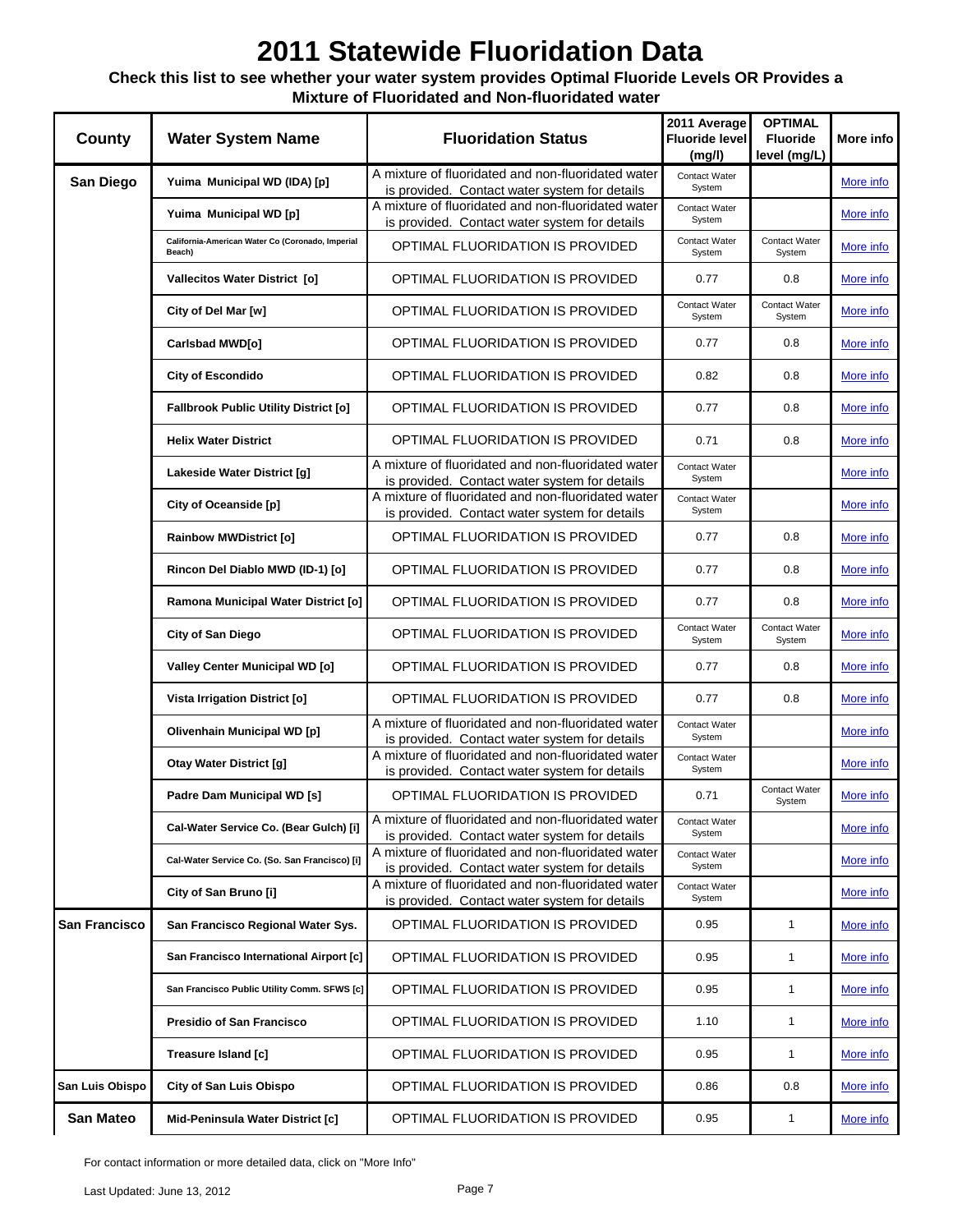### **Check this list to see whether your water system provides Optimal Fluoride Levels OR Provides a Mixture of Fluoridated and Non-fluoridated water**

| County               | <b>Water System Name</b>                                   | <b>Fluoridation Status</b>                                                                          | 2011 Average<br><b>Fluoride level</b><br>(mg/l) | <b>OPTIMAL</b><br><b>Fluoride</b><br>level (mg/L) | More info        |
|----------------------|------------------------------------------------------------|-----------------------------------------------------------------------------------------------------|-------------------------------------------------|---------------------------------------------------|------------------|
| San Diego            | Yuima Municipal WD (IDA) [p]                               | A mixture of fluoridated and non-fluoridated water<br>is provided. Contact water system for details | Contact Water<br>System                         |                                                   | More info        |
|                      | Yuima Municipal WD [p]                                     | A mixture of fluoridated and non-fluoridated water<br>is provided. Contact water system for details | Contact Water<br>System                         |                                                   | More info        |
|                      | California-American Water Co (Coronado, Imperial<br>Beach) | OPTIMAL FLUORIDATION IS PROVIDED                                                                    | Contact Water<br>System                         | Contact Water<br>System                           | More info        |
|                      | Vallecitos Water District [o]                              | OPTIMAL FLUORIDATION IS PROVIDED                                                                    | 0.77                                            | 0.8                                               | More info        |
|                      | City of Del Mar [w]                                        | OPTIMAL FLUORIDATION IS PROVIDED                                                                    | Contact Water<br>System                         | Contact Water<br>System                           | More info        |
|                      | Carlsbad MWD[o]                                            | OPTIMAL FLUORIDATION IS PROVIDED                                                                    | 0.77                                            | 0.8                                               | <u>More info</u> |
|                      | <b>City of Escondido</b>                                   | OPTIMAL FLUORIDATION IS PROVIDED                                                                    | 0.82                                            | 0.8                                               | More info        |
|                      | <b>Fallbrook Public Utility District [o]</b>               | OPTIMAL FLUORIDATION IS PROVIDED                                                                    | 0.77                                            | 0.8                                               | More info        |
|                      | <b>Helix Water District</b>                                | OPTIMAL FLUORIDATION IS PROVIDED                                                                    | 0.71                                            | 0.8                                               | More info        |
|                      | Lakeside Water District [g]                                | A mixture of fluoridated and non-fluoridated water<br>is provided. Contact water system for details | Contact Water<br>System                         |                                                   | More info        |
|                      | City of Oceanside [p]                                      | A mixture of fluoridated and non-fluoridated water<br>is provided. Contact water system for details | Contact Water<br>System                         |                                                   | More info        |
|                      | <b>Rainbow MWDistrict [o]</b>                              | OPTIMAL FLUORIDATION IS PROVIDED                                                                    | 0.77                                            | 0.8                                               | More info        |
|                      | Rincon Del Diablo MWD (ID-1) [o]                           | OPTIMAL FLUORIDATION IS PROVIDED                                                                    | 0.77                                            | 0.8                                               | More info        |
|                      | Ramona Municipal Water District [o]                        | OPTIMAL FLUORIDATION IS PROVIDED                                                                    | 0.77                                            | 0.8                                               | More info        |
|                      | <b>City of San Diego</b>                                   | OPTIMAL FLUORIDATION IS PROVIDED                                                                    | Contact Water<br>System                         | <b>Contact Water</b><br>System                    | More info        |
|                      | <b>Valley Center Municipal WD [o]</b>                      | OPTIMAL FLUORIDATION IS PROVIDED                                                                    | 0.77                                            | 0.8                                               | More info        |
|                      | Vista Irrigation District [o]                              | OPTIMAL FLUORIDATION IS PROVIDED                                                                    | 0.77                                            | 0.8                                               | More info        |
|                      | Olivenhain Municipal WD [p]                                | A mixture of fluoridated and non-fluoridated water<br>is provided. Contact water system for details | Contact Water<br>System                         |                                                   | More info        |
|                      | <b>Otay Water District [g]</b>                             | A mixture of fluoridated and non-fluoridated water<br>is provided. Contact water system for details | Contact Water<br>System                         |                                                   | <u>More info</u> |
|                      | Padre Dam Municipal WD [s]                                 | OPTIMAL FLUORIDATION IS PROVIDED                                                                    | 0.71                                            | Contact Water<br>System                           | More info        |
|                      | Cal-Water Service Co. (Bear Gulch) [i]                     | A mixture of fluoridated and non-fluoridated water<br>is provided. Contact water system for details | Contact Water<br>System                         |                                                   | More info        |
|                      | Cal-Water Service Co. (So. San Francisco) [i]              | A mixture of fluoridated and non-fluoridated water<br>is provided. Contact water system for details | Contact Water<br>System                         |                                                   | More info        |
|                      | City of San Bruno [i]                                      | A mixture of fluoridated and non-fluoridated water<br>is provided. Contact water system for details | Contact Water<br>System                         |                                                   | More info        |
| <b>San Francisco</b> | San Francisco Regional Water Sys.                          | OPTIMAL FLUORIDATION IS PROVIDED                                                                    | 0.95                                            | $\mathbf{1}$                                      | More info        |
|                      | San Francisco International Airport [c]                    | OPTIMAL FLUORIDATION IS PROVIDED                                                                    | 0.95                                            | $\mathbf{1}$                                      | More info        |
|                      | San Francisco Public Utility Comm. SFWS [c]                | OPTIMAL FLUORIDATION IS PROVIDED                                                                    | 0.95                                            | $\mathbf{1}$                                      | More info        |
|                      | <b>Presidio of San Francisco</b>                           | OPTIMAL FLUORIDATION IS PROVIDED                                                                    | 1.10                                            | $\mathbf{1}$                                      | More info        |
|                      | Treasure Island [c]                                        | OPTIMAL FLUORIDATION IS PROVIDED                                                                    | 0.95                                            | $\mathbf{1}$                                      | More info        |
| San Luis Obispo      | <b>City of San Luis Obispo</b>                             | OPTIMAL FLUORIDATION IS PROVIDED                                                                    | 0.86                                            | 0.8                                               | More info        |
| <b>San Mateo</b>     | Mid-Peninsula Water District [c]                           | OPTIMAL FLUORIDATION IS PROVIDED                                                                    | 0.95                                            | $\mathbf{1}$                                      | More info        |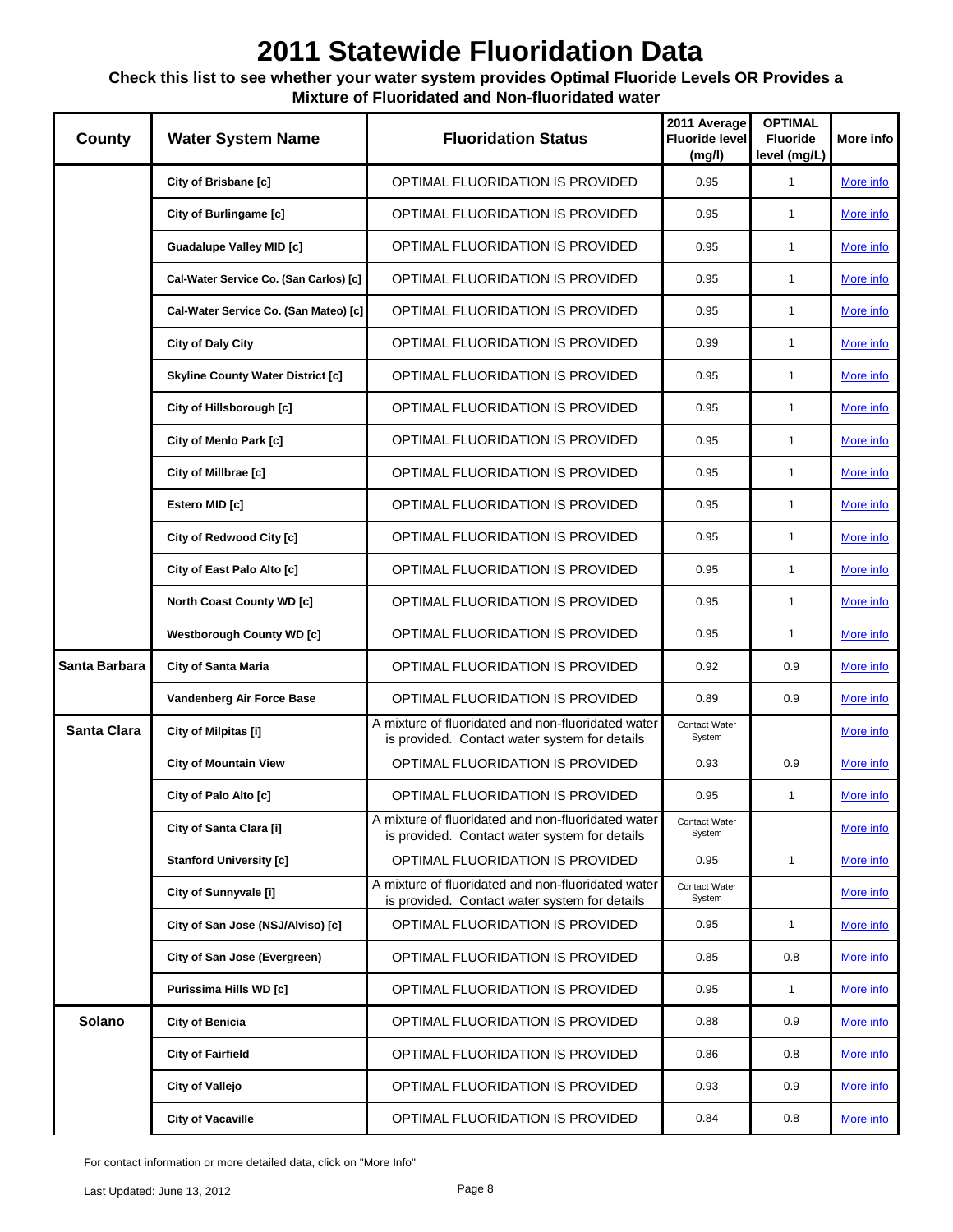### **Check this list to see whether your water system provides Optimal Fluoride Levels OR Provides a Mixture of Fluoridated and Non-fluoridated water**

| County             | <b>Water System Name</b>                 | <b>Fluoridation Status</b>                                                                          | 2011 Average<br><b>Fluoride level</b><br>(mg/l) | <b>OPTIMAL</b><br><b>Fluoride</b><br>level (mg/L) | More info        |
|--------------------|------------------------------------------|-----------------------------------------------------------------------------------------------------|-------------------------------------------------|---------------------------------------------------|------------------|
|                    | City of Brisbane [c]                     | OPTIMAL FLUORIDATION IS PROVIDED                                                                    | 0.95                                            | $\mathbf{1}$                                      | More info        |
|                    | City of Burlingame [c]                   | OPTIMAL FLUORIDATION IS PROVIDED                                                                    | 0.95                                            | $\mathbf{1}$                                      | More info        |
|                    | <b>Guadalupe Valley MID [c]</b>          | OPTIMAL FLUORIDATION IS PROVIDED                                                                    | 0.95                                            | $\mathbf{1}$                                      | More info        |
|                    | Cal-Water Service Co. (San Carlos) [c]   | OPTIMAL FLUORIDATION IS PROVIDED                                                                    | 0.95                                            | $\mathbf{1}$                                      | More info        |
|                    | Cal-Water Service Co. (San Mateo) [c]    | OPTIMAL FLUORIDATION IS PROVIDED                                                                    | 0.95                                            | $\mathbf{1}$                                      | More info        |
|                    | City of Daly City                        | OPTIMAL FLUORIDATION IS PROVIDED                                                                    | 0.99                                            | $\mathbf{1}$                                      | More info        |
|                    | <b>Skyline County Water District [c]</b> | OPTIMAL FLUORIDATION IS PROVIDED                                                                    | 0.95                                            | $\mathbf{1}$                                      | More info        |
|                    | City of Hillsborough [c]                 | OPTIMAL FLUORIDATION IS PROVIDED                                                                    | 0.95                                            | $\mathbf{1}$                                      | More info        |
|                    | City of Menlo Park [c]                   | OPTIMAL FLUORIDATION IS PROVIDED                                                                    | 0.95                                            | $\mathbf{1}$                                      | More info        |
|                    | City of Millbrae [c]                     | OPTIMAL FLUORIDATION IS PROVIDED                                                                    | 0.95                                            | $\mathbf{1}$                                      | More info        |
|                    | Estero MID [c]                           | OPTIMAL FLUORIDATION IS PROVIDED                                                                    | 0.95                                            | $\mathbf{1}$                                      | More info        |
|                    | City of Redwood City [c]                 | OPTIMAL FLUORIDATION IS PROVIDED                                                                    | 0.95                                            | $\mathbf{1}$                                      | More info        |
|                    | City of East Palo Alto [c]               | OPTIMAL FLUORIDATION IS PROVIDED                                                                    | 0.95                                            | $\mathbf{1}$                                      | More info        |
|                    | <b>North Coast County WD [c]</b>         | OPTIMAL FLUORIDATION IS PROVIDED                                                                    | 0.95                                            | $\mathbf{1}$                                      | More info        |
|                    | <b>Westborough County WD [c]</b>         | OPTIMAL FLUORIDATION IS PROVIDED                                                                    | 0.95                                            | $\mathbf{1}$                                      | More info        |
| Santa Barbara      | <b>City of Santa Maria</b>               | OPTIMAL FLUORIDATION IS PROVIDED                                                                    | 0.92                                            | 0.9                                               | More info        |
|                    | Vandenberg Air Force Base                | OPTIMAL FLUORIDATION IS PROVIDED                                                                    | 0.89                                            | 0.9                                               | More info        |
| <b>Santa Clara</b> | City of Milpitas [i]                     | A mixture of fluoridated and non-fluoridated water<br>is provided. Contact water system for details | Contact Water<br>System                         |                                                   | More info        |
|                    | <b>City of Mountain View</b>             | OPTIMAL FLUORIDATION IS PROVIDED                                                                    | 0.93                                            | 0.9                                               | More info        |
|                    | City of Palo Alto [c]                    | OPTIMAL FLUORIDATION IS PROVIDED                                                                    | 0.95                                            | $\mathbf{1}$                                      | More info        |
|                    | City of Santa Clara [i]                  | A mixture of fluoridated and non-fluoridated water<br>is provided. Contact water system for details | Contact Water<br>System                         |                                                   | More info        |
|                    | <b>Stanford University [c]</b>           | OPTIMAL FLUORIDATION IS PROVIDED                                                                    | 0.95                                            | $\mathbf{1}$                                      | More info        |
|                    | City of Sunnyvale [i]                    | A mixture of fluoridated and non-fluoridated water<br>is provided. Contact water system for details | Contact Water<br>System                         |                                                   | More info        |
|                    | City of San Jose (NSJ/Alviso) [c]        | OPTIMAL FLUORIDATION IS PROVIDED                                                                    | 0.95                                            | $\mathbf{1}$                                      | More info        |
|                    | City of San Jose (Evergreen)             | OPTIMAL FLUORIDATION IS PROVIDED                                                                    | 0.85                                            | 0.8                                               | More info        |
|                    | Purissima Hills WD [c]                   | OPTIMAL FLUORIDATION IS PROVIDED                                                                    | 0.95                                            | $\mathbf{1}$                                      | More info        |
| Solano             | City of Benicia                          | OPTIMAL FLUORIDATION IS PROVIDED                                                                    | 0.88                                            | 0.9                                               | More info        |
|                    | <b>City of Fairfield</b>                 | OPTIMAL FLUORIDATION IS PROVIDED                                                                    | 0.86                                            | 0.8                                               | More info        |
|                    | <b>City of Vallejo</b>                   | OPTIMAL FLUORIDATION IS PROVIDED                                                                    | 0.93                                            | 0.9                                               | More info        |
|                    | <b>City of Vacaville</b>                 | OPTIMAL FLUORIDATION IS PROVIDED                                                                    | 0.84                                            | 0.8                                               | <u>More info</u> |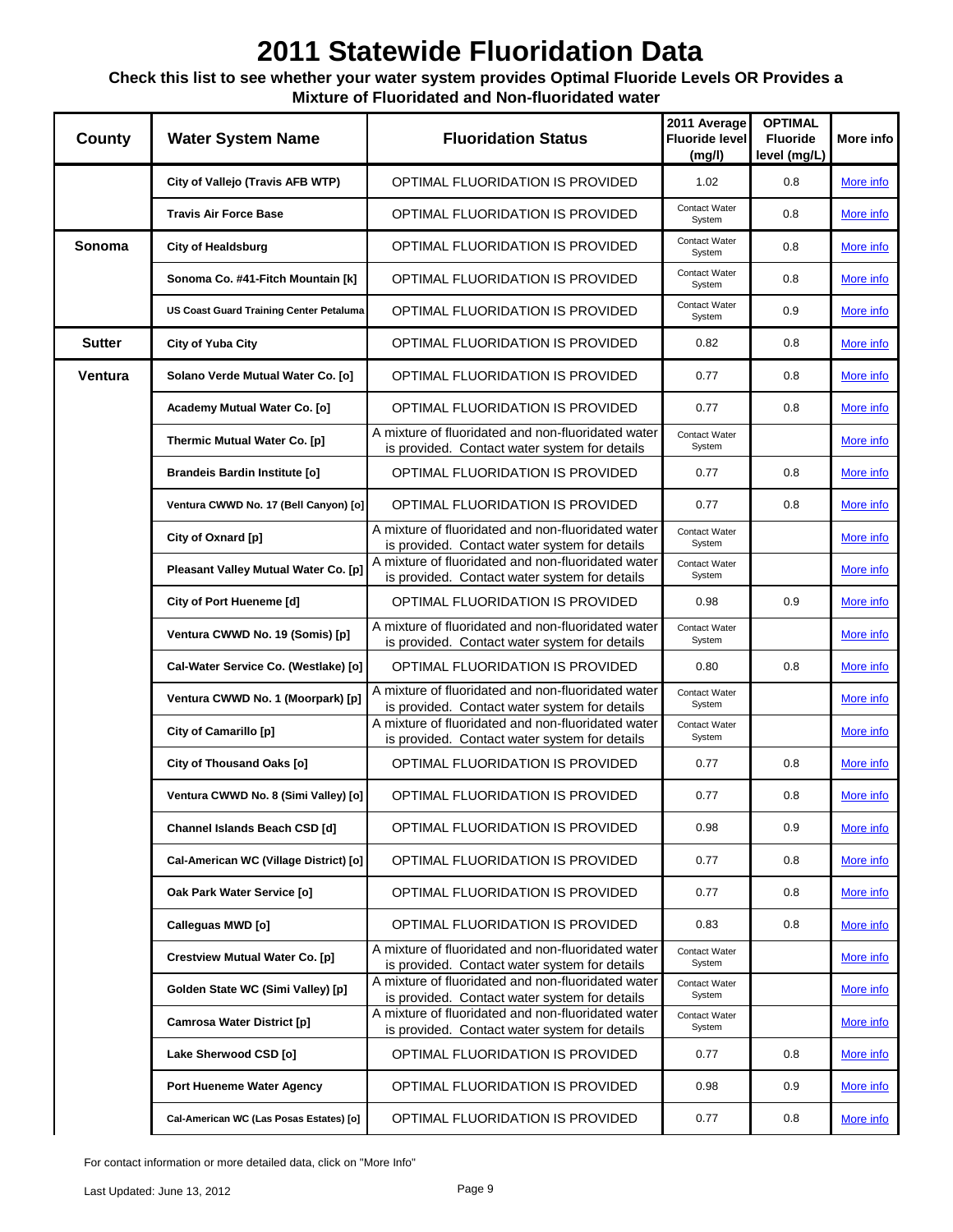### **Check this list to see whether your water system provides Optimal Fluoride Levels OR Provides a Mixture of Fluoridated and Non-fluoridated water**

| <b>County</b> | <b>Water System Name</b>                       | <b>Fluoridation Status</b>                                                                          | 2011 Average<br><b>Fluoride level</b><br>(mg/l) | <b>OPTIMAL</b><br><b>Fluoride</b><br>level (mg/L) | More info        |
|---------------|------------------------------------------------|-----------------------------------------------------------------------------------------------------|-------------------------------------------------|---------------------------------------------------|------------------|
|               | City of Vallejo (Travis AFB WTP)               | OPTIMAL FLUORIDATION IS PROVIDED                                                                    | 1.02                                            | 0.8                                               | More info        |
|               | <b>Travis Air Force Base</b>                   | OPTIMAL FLUORIDATION IS PROVIDED                                                                    | Contact Water<br>System                         | 0.8                                               | More info        |
| Sonoma        | <b>City of Healdsburg</b>                      | OPTIMAL FLUORIDATION IS PROVIDED                                                                    | Contact Water<br>System                         | 0.8                                               | More info        |
|               | Sonoma Co. #41-Fitch Mountain [k]              | OPTIMAL FLUORIDATION IS PROVIDED                                                                    | Contact Water<br>System                         | 0.8                                               | More info        |
|               | <b>US Coast Guard Training Center Petaluma</b> | OPTIMAL FLUORIDATION IS PROVIDED                                                                    | Contact Water<br>System                         | 0.9                                               | More info        |
| <b>Sutter</b> | City of Yuba City                              | OPTIMAL FLUORIDATION IS PROVIDED                                                                    | 0.82                                            | 0.8                                               | More info        |
| Ventura       | Solano Verde Mutual Water Co. [o]              | OPTIMAL FLUORIDATION IS PROVIDED                                                                    | 0.77                                            | 0.8                                               | More info        |
|               | Academy Mutual Water Co. [o]                   | OPTIMAL FLUORIDATION IS PROVIDED                                                                    | 0.77                                            | 0.8                                               | More info        |
|               | Thermic Mutual Water Co. [p]                   | A mixture of fluoridated and non-fluoridated water<br>is provided. Contact water system for details | Contact Water<br>System                         |                                                   | More info        |
|               | <b>Brandeis Bardin Institute [o]</b>           | OPTIMAL FLUORIDATION IS PROVIDED                                                                    | 0.77                                            | 0.8                                               | More info        |
|               | Ventura CWWD No. 17 (Bell Canyon) [o]          | OPTIMAL FLUORIDATION IS PROVIDED                                                                    | 0.77                                            | 0.8                                               | More info        |
|               | City of Oxnard [p]                             | A mixture of fluoridated and non-fluoridated water<br>is provided. Contact water system for details | Contact Water<br>System                         |                                                   | More info        |
|               | Pleasant Valley Mutual Water Co. [p]           | A mixture of fluoridated and non-fluoridated water<br>is provided. Contact water system for details | Contact Water<br>System                         |                                                   | More info        |
|               | City of Port Hueneme [d]                       | OPTIMAL FLUORIDATION IS PROVIDED                                                                    | 0.98                                            | 0.9                                               | More info        |
|               | Ventura CWWD No. 19 (Somis) [p]                | A mixture of fluoridated and non-fluoridated water<br>is provided. Contact water system for details | Contact Water<br>System                         |                                                   | More info        |
|               | Cal-Water Service Co. (Westlake) [o]           | OPTIMAL FLUORIDATION IS PROVIDED                                                                    | 0.80                                            | 0.8                                               | More info        |
|               | Ventura CWWD No. 1 (Moorpark) [p]              | A mixture of fluoridated and non-fluoridated water<br>is provided. Contact water system for details | Contact Water<br>System                         |                                                   | More info        |
|               | City of Camarillo [p]                          | A mixture of fluoridated and non-fluoridated water<br>is provided. Contact water system for details | Contact Water<br>System                         |                                                   | More info        |
|               | City of Thousand Oaks [o]                      | OPTIMAL FLUORIDATION IS PROVIDED                                                                    | 0.77                                            | 0.8                                               | More info        |
|               | Ventura CWWD No. 8 (Simi Valley) [o]           | OPTIMAL FLUORIDATION IS PROVIDED                                                                    | 0.77                                            | 0.8                                               | More info        |
|               | Channel Islands Beach CSD [d]                  | OPTIMAL FLUORIDATION IS PROVIDED                                                                    | 0.98                                            | 0.9                                               | More info        |
|               | Cal-American WC (Village District) [o]         | OPTIMAL FLUORIDATION IS PROVIDED                                                                    | 0.77                                            | 0.8                                               | More info        |
|               | Oak Park Water Service [o]                     | OPTIMAL FLUORIDATION IS PROVIDED                                                                    | 0.77                                            | 0.8                                               | More info        |
|               | Calleguas MWD [o]                              | OPTIMAL FLUORIDATION IS PROVIDED                                                                    | 0.83                                            | 0.8                                               | More info        |
|               | <b>Crestview Mutual Water Co. [p]</b>          | A mixture of fluoridated and non-fluoridated water<br>is provided. Contact water system for details | Contact Water<br>System                         |                                                   | More info        |
|               | Golden State WC (Simi Valley) [p]              | A mixture of fluoridated and non-fluoridated water<br>is provided. Contact water system for details | Contact Water<br>System                         |                                                   | More info        |
|               | Camrosa Water District [p]                     | A mixture of fluoridated and non-fluoridated water<br>is provided. Contact water system for details | Contact Water<br>System                         |                                                   | More info        |
|               | Lake Sherwood CSD [o]                          | OPTIMAL FLUORIDATION IS PROVIDED                                                                    | 0.77                                            | 0.8                                               | More info        |
|               | Port Hueneme Water Agency                      | OPTIMAL FLUORIDATION IS PROVIDED                                                                    | 0.98                                            | 0.9                                               | More info        |
|               | Cal-American WC (Las Posas Estates) [o]        | OPTIMAL FLUORIDATION IS PROVIDED                                                                    | 0.77                                            | 0.8                                               | <u>More info</u> |